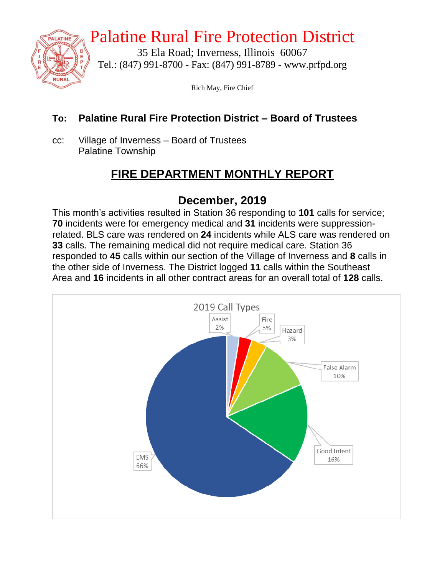

# Palatine Rural Fire Protection District

35 Ela Road; Inverness, Illinois 60067 Tel.: (847) 991-8700 - Fax: (847) 991-8789 - www.prfpd.org

Rich May, Fire Chief

### **To: Palatine Rural Fire Protection District – Board of Trustees**

cc: Village of Inverness – Board of Trustees Palatine Township

# **FIRE DEPARTMENT MONTHLY REPORT**

# **December, 2019**

This month's activities resulted in Station 36 responding to **101** calls for service; **70** incidents were for emergency medical and **31** incidents were suppressionrelated. BLS care was rendered on **24** incidents while ALS care was rendered on **33** calls. The remaining medical did not require medical care. Station 36 responded to **45** calls within our section of the Village of Inverness and **8** calls in the other side of Inverness. The District logged **11** calls within the Southeast Area and **16** incidents in all other contract areas for an overall total of **128** calls.

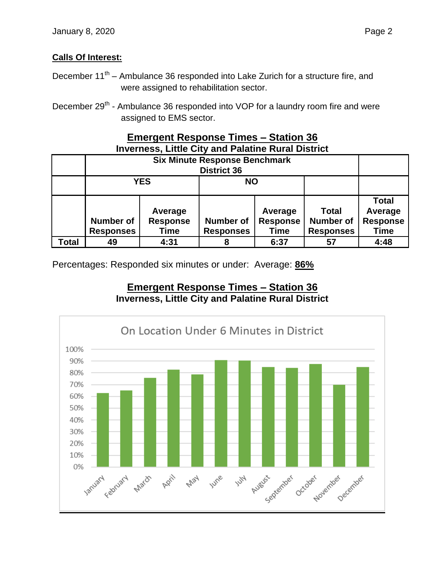#### **Calls Of Interest:**

- December 11<sup>th</sup> Ambulance 36 responded into Lake Zurich for a structure fire, and were assigned to rehabilitation sector.
- December 29<sup>th</sup> Ambulance 36 responded into VOP for a laundry room fire and were assigned to EMS sector.

#### **Emergent Response Times – Station 36 Inverness, Little City and Palatine Rural District**

|       |                                      | <b>YES</b>                                | <b>NO</b>                            |                                           |                                                      |                                                           |
|-------|--------------------------------------|-------------------------------------------|--------------------------------------|-------------------------------------------|------------------------------------------------------|-----------------------------------------------------------|
|       | <b>Number of</b><br><b>Responses</b> | Average<br><b>Response</b><br><b>Time</b> | <b>Number of</b><br><b>Responses</b> | Average<br><b>Response</b><br><b>Time</b> | <b>Total</b><br><b>Number of</b><br><b>Responses</b> | <b>Total</b><br>Average<br><b>Response</b><br><b>Time</b> |
| Total | 49                                   | 4:31                                      | 8                                    | 6:37                                      | 57                                                   | 4:48                                                      |

Percentages: Responded six minutes or under: Average: **86%**

#### **Emergent Response Times – Station 36 Inverness, Little City and Palatine Rural District**

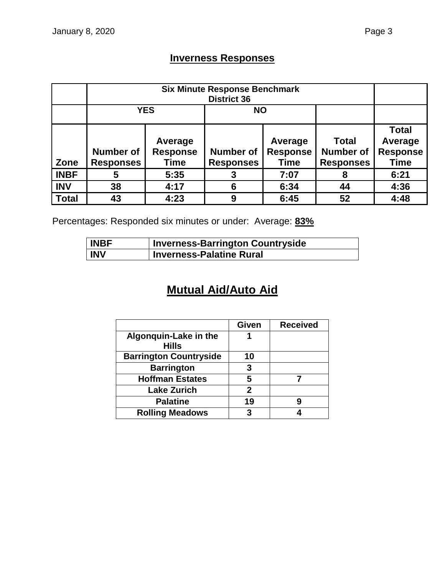## **Inverness Responses**

|              | <b>YES</b>                           |                                    | <b>NO</b>                            |                                           |                                                      |                                                           |
|--------------|--------------------------------------|------------------------------------|--------------------------------------|-------------------------------------------|------------------------------------------------------|-----------------------------------------------------------|
| Zone         | <b>Number of</b><br><b>Responses</b> | Average<br><b>Response</b><br>Time | <b>Number of</b><br><b>Responses</b> | Average<br><b>Response</b><br><b>Time</b> | <b>Total</b><br><b>Number of</b><br><b>Responses</b> | <b>Total</b><br>Average<br><b>Response</b><br><b>Time</b> |
| <b>INBF</b>  | 5                                    | 5:35                               |                                      | 7:07                                      | 8                                                    | 6:21                                                      |
| <b>INV</b>   | 38                                   | 4:17                               | 6                                    | 6:34                                      | 44                                                   | 4:36                                                      |
| <b>Total</b> | 43                                   | 4:23                               | 9                                    | 6:45                                      | 52                                                   | 4:48                                                      |

Percentages: Responded six minutes or under: Average: **83%**

| <b>INBF</b> | <b>Inverness-Barrington Countryside</b> |
|-------------|-----------------------------------------|
| <b>INV</b>  | <b>Inverness-Palatine Rural</b>         |

# **Mutual Aid/Auto Aid**

|                                       | Given | <b>Received</b> |
|---------------------------------------|-------|-----------------|
| Algonquin-Lake in the<br><b>Hills</b> |       |                 |
| <b>Barrington Countryside</b>         | 10    |                 |
| <b>Barrington</b>                     | 3     |                 |
| <b>Hoffman Estates</b>                | 5     |                 |
| <b>Lake Zurich</b>                    | 2     |                 |
| <b>Palatine</b>                       | 19    |                 |
| <b>Rolling Meadows</b>                | 3     |                 |